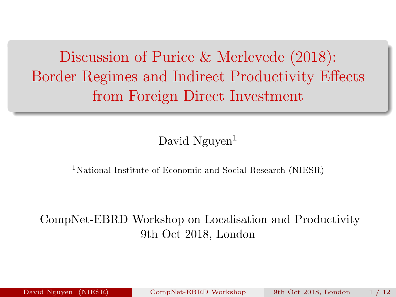<span id="page-0-0"></span>Discussion of Purice & Merlevede (2018): Border Regimes and Indirect Productivity Effects from Foreign Direct Investment

#### David Nguyen<sup>1</sup>

<sup>1</sup>National Institute of Economic and Social Research (NIESR)

#### CompNet-EBRD Workshop on Localisation and Productivity 9th Oct 2018, London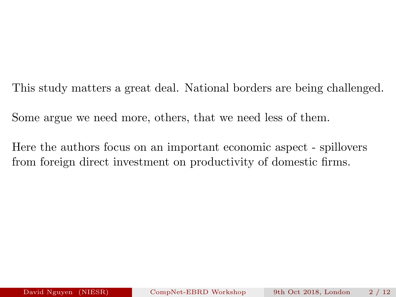This study matters a great deal. National borders are being challenged.

Some argue we need more, others, that we need less of them.

Here the authors focus on an important economic aspect - spillovers from foreign direct investment on productivity of domestic firms.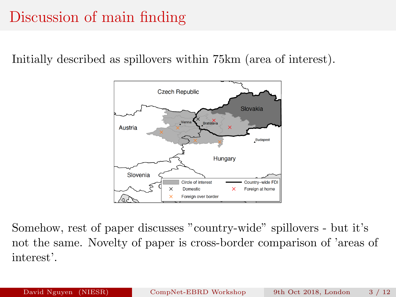## Discussion of main finding

Initially described as spillovers within 75km (area of interest).



Somehow, rest of paper discusses "country-wide" spillovers - but it's not the same. Novelty of paper is cross-border comparison of 'areas of interest'.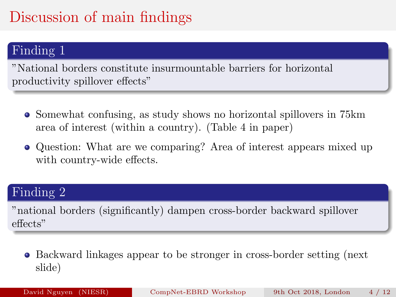# Discussion of main findings

### Finding 1

"National borders constitute insurmountable barriers for horizontal productivity spillover effects"

- Somewhat confusing, as study shows no horizontal spillovers in 75 km area of interest (within a country). (Table 4 in paper)
- Question: What are we comparing? Area of interest appears mixed up with country-wide effects.

#### Finding 2

"national borders (significantly) dampen cross-border backward spillover effects"

Backward linkages appear to be stronger in cross-border setting (next slide)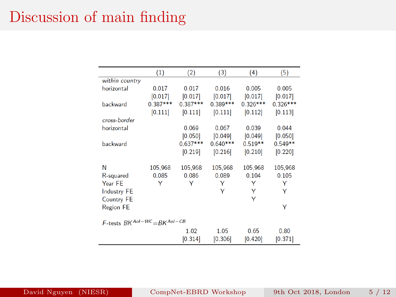### Discussion of main finding

|                                        | (1)        | (2)        | (3)        | (4)        | (5)        |  |  |
|----------------------------------------|------------|------------|------------|------------|------------|--|--|
| within country                         |            |            |            |            |            |  |  |
| horizontal                             | 0.017      | 0.017      | 0.016      | 0.005      | 0.005      |  |  |
|                                        | [0.017]    | [0.017]    | [0.017]    | [0.017]    | [0.017]    |  |  |
| backward                               | $0.387***$ | $0.387***$ | $0.389***$ | $0.326***$ | $0.326***$ |  |  |
|                                        | [0.111]    | [0.111]    | [0.111]    | [0.112]    | [0.113]    |  |  |
| cross-border                           |            |            |            |            |            |  |  |
| horizontal                             |            | 0.069      | 0.067      | 0.039      | 0.044      |  |  |
|                                        |            | [0.050]    | [0.049]    | [0.049]    | [0.050]    |  |  |
| backward                               |            | $0.637***$ | $0.640***$ | $0.519**$  | $0.549**$  |  |  |
|                                        |            | [0.219]    | [0.216]    | [0.210]    | [0.220]    |  |  |
|                                        |            |            |            |            |            |  |  |
| Ν                                      | 105,968    | 105,968    | 105,968    | 105,968    | 105,968    |  |  |
| R-squared                              | 0.085      | 0.086      | 0.089      | 0.104      | 0.105      |  |  |
| Year FE                                | Y          | Y          | Y          | Υ          | Y          |  |  |
| <b>Industry FE</b>                     |            |            | Ÿ          | Y          | Y          |  |  |
| Country FE                             |            |            |            | Y          |            |  |  |
| <b>Region FE</b>                       |            |            |            |            | Ÿ          |  |  |
| $F$ -tests $BK^{AoI-WC} = BK^{AoI-CB}$ |            |            |            |            |            |  |  |
|                                        |            |            |            |            |            |  |  |
|                                        |            | 1.02       | 1.05       | 0.65       | 0.80       |  |  |
|                                        |            | [0.314]    | [0.306]    | [0.420]    | [0.371]    |  |  |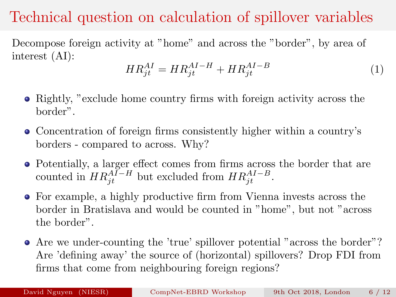## Technical question on calculation of spillover variables

Decompose foreign activity at "home" and across the "border", by area of interest (AI):

$$
HR_{jt}^{AI} = HR_{jt}^{AI-H} + HR_{jt}^{AI-B}
$$
 (1)

- Rightly, "exclude home country firms with foreign activity across the border".
- Concentration of foreign firms consistently higher within a country's borders - compared to across. Why?
- Potentially, a larger effect comes from firms across the border that are counted in  $HR_{jt}^{AI-H}$  but excluded from  $HR_{jt}^{AI-B}$ .
- For example, a highly productive firm from Vienna invests across the border in Bratislava and would be counted in "home", but not "across the border".
- Are we under-counting the 'true' spillover potential "across the border"? Are 'defining away' the source of (horizontal) spillovers? Drop FDI from firms that come from neighbouring foreign regions?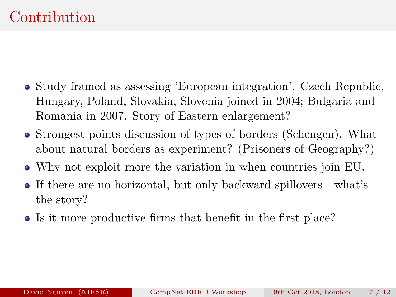- Study framed as assessing 'European integration'. Czech Republic, Hungary, Poland, Slovakia, Slovenia joined in 2004; Bulgaria and Romania in 2007. Story of Eastern enlargement?
- Strongest points discussion of types of borders (Schengen). What about natural borders as experiment? (Prisoners of Geography?)
- Why not exploit more the variation in when countries join EU.
- If there are no horizontal, but only backward spillovers what's the story?
- Is it more productive firms that benefit in the first place?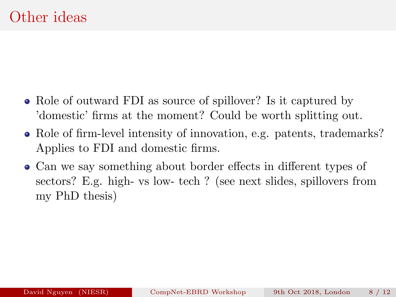- Role of outward FDI as source of spillover? Is it captured by 'domestic' firms at the moment? Could be worth splitting out.
- Role of firm-level intensity of innovation, e.g. patents, trademarks? Applies to FDI and domestic firms.
- Can we say something about border effects in different types of sectors? E.g. high- vs low- tech ? (see next slides, spillovers from my PhD thesis)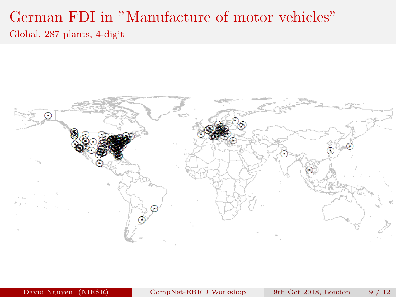### German FDI in "Manufacture of motor vehicles" Global, 287 plants, 4-digit



David Nguyen (NIESR) [CompNet-EBRD Workshop](#page-0-0) 9th Oct 2018, London 9 / 12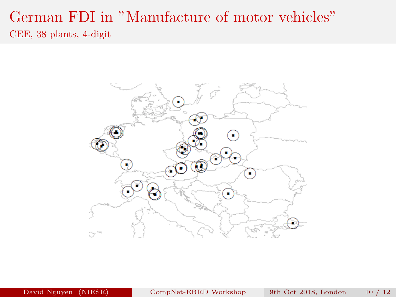### German FDI in "Manufacture of motor vehicles" CEE, 38 plants, 4-digit

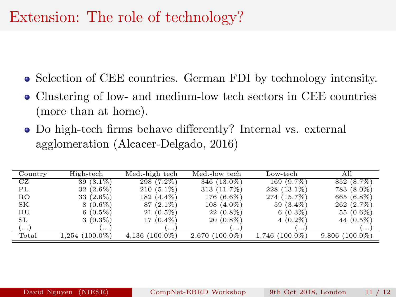### Extension: The role of technology?

- Selection of CEE countries. German FDI by technology intensity.
- Clustering of low- and medium-low tech sectors in CEE countries (more than at home).
- Do high-tech firms behave differently? Internal vs. external agglomeration (Alcacer-Delgado, 2016)

| Country | High-tech      | Med.-high tech   | Med.-low tech    | Low-tech         | All              |
|---------|----------------|------------------|------------------|------------------|------------------|
| CZ      | $39(3.1\%)$    | $298(7.2\%)$     | 346 (13.0%)      | 169 (9.7%)       | 852 (8.7%)       |
| РL      | $32(2.6\%)$    | $210(5.1\%)$     | 313 (11.7%)      | $228(13.1\%)$    | 783 (8.0%)       |
| RO.     | 33 $(2.6\%)$   | 182 (4.4%)       | 176 (6.6%)       | 274 (15.7%)      | 665 (6.8%)       |
| SK      | $8(0.6\%)$     | $87(2.1\%)$      | $108(4.0\%)$     | 59 (3.4%)        | 262 (2.7%)       |
| HU      | $6(0.5\%)$     | $21(0.5\%)$      | $22(0.8\%)$      | $6(0.3\%)$       | 55 (0.6%)        |
| SL      | $3(0.3\%)$     | $17(0.4\%)$      | $20(0.8\%)$      | $4(0.2\%)$       | 44 (0.5%)        |
| )       | $\cdots$       | $\cdots$         | $\cdots$         | $\cdots$         | $\cdots$         |
| Total   | 1,254 (100.0%) | $4,136(100.0\%)$ | $2,670(100.0\%)$ | $1,746$ (100.0%) | $9,806(100.0\%)$ |